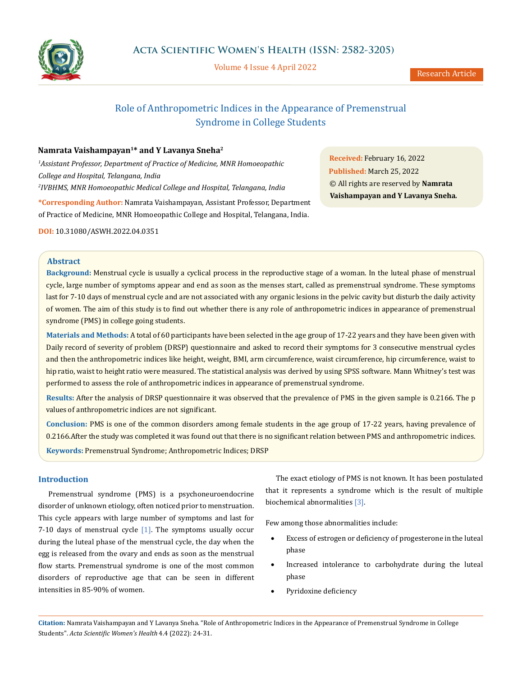

Volume 4 Issue 4 April 2022

# Role of Anthropometric Indices in the Appearance of Premenstrual Syndrome in College Students

# **Namrata Vaishampayan1\* and Y Lavanya Sneha2**

*1 Assistant Professor, Department of Practice of Medicine, MNR Homoeopathic College and Hospital, Telangana, India 2 IVBHMS, MNR Homoeopathic Medical College and Hospital, Telangana, India*

**\*Corresponding Author:** Namrata Vaishampayan, Assistant Professor, Department of Practice of Medicine, MNR Homoeopathic College and Hospital, Telangana, India.

**DOI:** [10.31080/ASWH.2022.04.0351](http://actascientific.com/ASWH/pdf/ASWH-04-0351.pdf)

**Received:** February 16, 2022 **Published:** March 25, 2022 © All rights are reserved by **Namrata Vaishampayan and Y Lavanya Sneha***.*

# **Abstract**

**Background:** Menstrual cycle is usually a cyclical process in the reproductive stage of a woman. In the luteal phase of menstrual cycle, large number of symptoms appear and end as soon as the menses start, called as premenstrual syndrome. These symptoms last for 7-10 days of menstrual cycle and are not associated with any organic lesions in the pelvic cavity but disturb the daily activity of women. The aim of this study is to find out whether there is any role of anthropometric indices in appearance of premenstrual syndrome (PMS) in college going students.

**Materials and Methods:** A total of 60 participants have been selected in the age group of 17-22 years and they have been given with Daily record of severity of problem (DRSP) questionnaire and asked to record their symptoms for 3 consecutive menstrual cycles and then the anthropometric indices like height, weight, BMI, arm circumference, waist circumference, hip circumference, waist to hip ratio, waist to height ratio were measured. The statistical analysis was derived by using SPSS software. Mann Whitney's test was performed to assess the role of anthropometric indices in appearance of premenstrual syndrome.

**Results:** After the analysis of DRSP questionnaire it was observed that the prevalence of PMS in the given sample is 0.2166. The p values of anthropometric indices are not significant.

**Conclusion:** PMS is one of the common disorders among female students in the age group of 17-22 years, having prevalence of 0.2166.After the study was completed it was found out that there is no significant relation between PMS and anthropometric indices. **Keywords:** Premenstrual Syndrome; Anthropometric Indices; DRSP

# **Introduction**

Premenstrual syndrome (PMS) is a psychoneuroendocrine disorder of unknown etiology, often noticed prior to menstruation. This cycle appears with large number of symptoms and last for 7-10 days of menstrual cycle  $[1]$ . The symptoms usually occur during the luteal phase of the menstrual cycle, the day when the egg is released from the ovary and ends as soon as the menstrual flow starts. Premenstrual syndrome is one of the most common disorders of reproductive age that can be seen in different intensities in 85-90% of women.

The exact etiology of PMS is not known. It has been postulated that it represents a syndrome which is the result of multiple biochemical abnormalities [3].

Few among those abnormalities include:

- • Excess of estrogen or deficiency of progesterone in the luteal phase
- Increased intolerance to carbohydrate during the luteal phase
- Pyridoxine deficiency

**Citation:** Namrata Vaishampayan and Y Lavanya Sneha*.* "Role of Anthropometric Indices in the Appearance of Premenstrual Syndrome in College Students". *Acta Scientific Women's Health* 4.4 (2022): 24-31.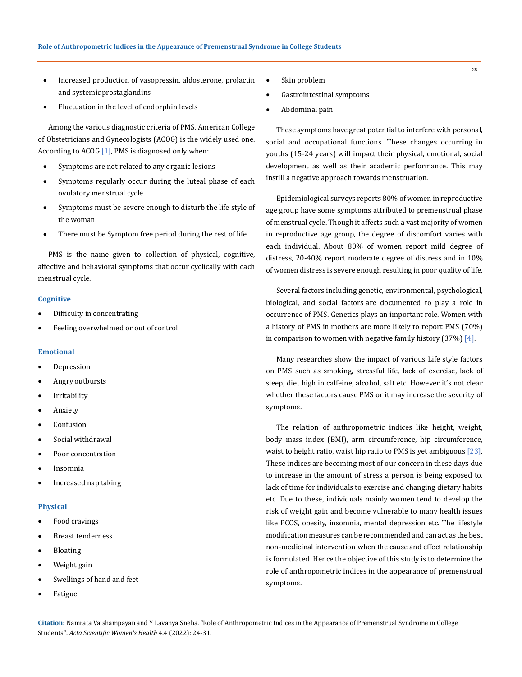- Increased production of vasopressin, aldosterone, prolactin and systemic prostaglandins
- Fluctuation in the level of endorphin levels

Among the various diagnostic criteria of PMS, American College of Obstetricians and Gynecologists (ACOG) is the widely used one. According to ACOG  $[1]$ , PMS is diagnosed only when:

- Symptoms are not related to any organic lesions
- Symptoms regularly occur during the luteal phase of each ovulatory menstrual cycle
- Symptoms must be severe enough to disturb the life style of the woman
- There must be Symptom free period during the rest of life.

PMS is the name given to collection of physical, cognitive, affective and behavioral symptoms that occur cyclically with each menstrual cycle.

#### **Cognitive**

- Difficulty in concentrating
- Feeling overwhelmed or out of control

## **Emotional**

- • Depression
- Angry outbursts
- • Irritability
- • Anxiety
- **Confusion**
- • Social withdrawal
- • Poor concentration
- • Insomnia
- Increased nap taking

## **Physical**

- Food cravings
- • Breast tenderness
- **Bloating**
- • Weight gain
- Swellings of hand and feet
- **Fatigue**
- Skin problem
- Gastrointestinal symptoms
- Abdominal pain

These symptoms have great potential to interfere with personal, social and occupational functions. These changes occurring in youths (15-24 years) will impact their physical, emotional, social development as well as their academic performance. This may instill a negative approach towards menstruation.

Epidemiological surveys reports 80% of women in reproductive age group have some symptoms attributed to premenstrual phase of menstrual cycle. Though it affects such a vast majority of women in reproductive age group, the degree of discomfort varies with each individual. About 80% of women report mild degree of distress, 20-40% report moderate degree of distress and in 10% of women distress is severe enough resulting in poor quality of life.

Several factors including genetic, environmental, psychological, biological, and social factors are documented to play a role in occurrence of PMS. Genetics plays an important role. Women with a history of PMS in mothers are more likely to report PMS (70%) in comparison to women with negative family history  $(37%)$  [4].

Many researches show the impact of various Life style factors on PMS such as smoking, stressful life, lack of exercise, lack of sleep, diet high in caffeine, alcohol, salt etc. However it's not clear whether these factors cause PMS or it may increase the severity of symptoms.

The relation of anthropometric indices like height, weight, body mass index (BMI), arm circumference, hip circumference, waist to height ratio, waist hip ratio to PMS is yet ambiguous [23]. These indices are becoming most of our concern in these days due to increase in the amount of stress a person is being exposed to, lack of time for individuals to exercise and changing dietary habits etc. Due to these, individuals mainly women tend to develop the risk of weight gain and become vulnerable to many health issues like PCOS, obesity, insomnia, mental depression etc. The lifestyle modification measures can be recommended and can act as the best non-medicinal intervention when the cause and effect relationship is formulated. Hence the objective of this study is to determine the role of anthropometric indices in the appearance of premenstrual symptoms.

**Citation:** Namrata Vaishampayan and Y Lavanya Sneha*.* "Role of Anthropometric Indices in the Appearance of Premenstrual Syndrome in College Students". *Acta Scientific Women's Health* 4.4 (2022): 24-31.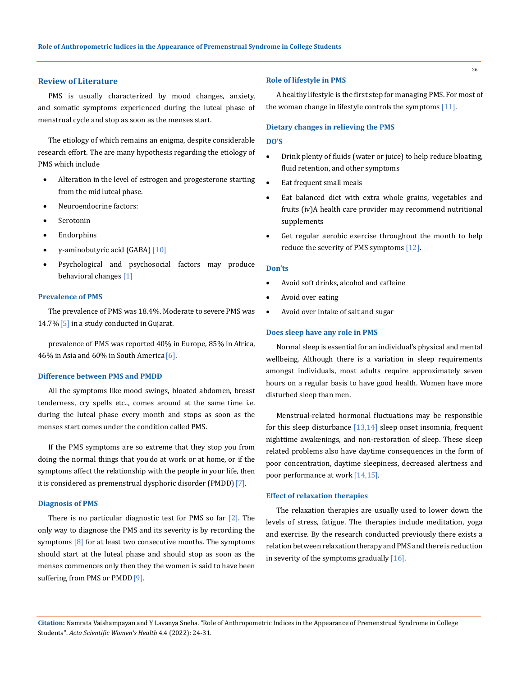#### **Review of Literature**

PMS is usually characterized by mood changes, anxiety, and somatic symptoms experienced during the luteal phase of menstrual cycle and stop as soon as the menses start.

The etiology of which remains an enigma, despite considerable research effort. The are many hypothesis regarding the etiology of PMS which include

- Alteration in the level of estrogen and progesterone starting from the mid luteal phase.
- Neuroendocrine factors:
- **Serotonin**
- **Endorphins**
- γ-aminobutyric acid (GABA) [10]
- Psychological and psychosocial factors may produce behavioral changes [1]

## **Prevalence of PMS**

The prevalence of PMS was 18.4%. Moderate to severe PMS was 14.7% [5] in a study conducted in Gujarat.

prevalence of PMS was reported 40% in Europe, 85% in Africa, 46% in Asia and 60% in South America [6].

## **Difference between PMS and PMDD**

All the symptoms like mood swings, bloated abdomen, breast tenderness, cry spells etc.., comes around at the same time i.e. during the luteal phase every month and stops as soon as the menses start comes under the condition called PMS.

If the PMS symptoms are so extreme that they stop you from doing the normal things that you do at work or at home, or if the symptoms affect the relationship with the people in your life, then it is considered as premenstrual dysphoric disorder (PMDD) [7].

#### **Diagnosis of PMS**

There is no particular diagnostic test for PMS so far  $[2]$ . The only way to diagnose the PMS and its severity is by recording the symptoms  $[8]$  for at least two consecutive months. The symptoms should start at the luteal phase and should stop as soon as the menses commences only then they the women is said to have been suffering from PMS or PMDD<sup>[9]</sup>.

#### **Role of lifestyle in PMS**

A healthy lifestyle is the first step for managing PMS. For most of the woman change in lifestyle controls the symptoms [11].

### **Dietary changes in relieving the PMS**

#### **DO'S**

- Drink plenty of fluids (water or juice) to help reduce bloating, fluid retention, and other symptoms
- Eat frequent small meals
- Eat balanced diet with extra whole grains, vegetables and fruits (iv)A health care provider may recommend nutritional supplements
- Get regular aerobic exercise throughout the month to help reduce the severity of PMS symptoms [12].

## **Don'ts**

- Avoid soft drinks, alcohol and caffeine
- Avoid over eating
- Avoid over intake of salt and sugar

#### **Does sleep have any role in PMS**

Normal sleep is essential for an individual's physical and mental wellbeing. Although there is a variation in sleep requirements amongst individuals, most adults require approximately seven hours on a regular basis to have good health. Women have more disturbed sleep than men.

Menstrual-related hormonal fluctuations may be responsible for this sleep disturbance [13,14] sleep onset insomnia, frequent nighttime awakenings, and non-restoration of sleep. These sleep related problems also have daytime consequences in the form of poor concentration, daytime sleepiness, decreased alertness and poor performance at work [14,15].

#### **Effect of relaxation therapies**

The relaxation therapies are usually used to lower down the levels of stress, fatigue. The therapies include meditation, yoga and exercise. By the research conducted previously there exists a relation between relaxation therapy and PMS and there is reduction in severity of the symptoms gradually  $[16]$ .

**Citation:** Namrata Vaishampayan and Y Lavanya Sneha*.* "Role of Anthropometric Indices in the Appearance of Premenstrual Syndrome in College Students". *Acta Scientific Women's Health* 4.4 (2022): 24-31.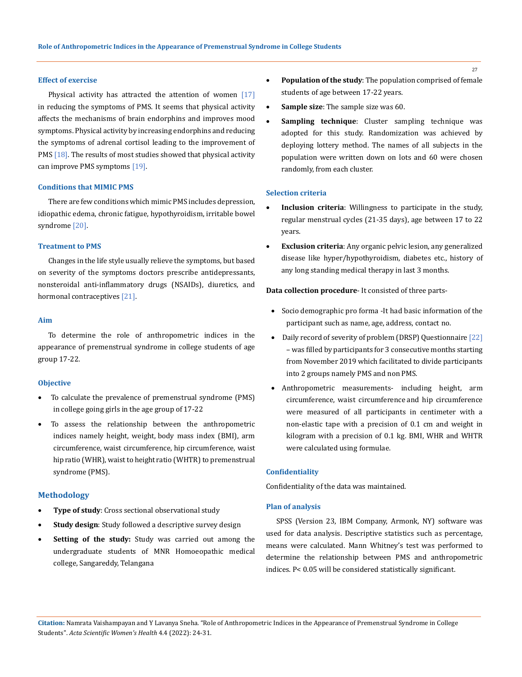## **Effect of exercise**

Physical activity has attracted the attention of women [17] in reducing the symptoms of PMS. It seems that physical activity affects the mechanisms of brain endorphins and improves mood symptoms. Physical activity by increasing endorphins and reducing the symptoms of adrenal cortisol leading to the improvement of PMS [18]. The results of most studies showed that physical activity can improve PMS symptoms [19].

## **Conditions that MIMIC PMS**

There are few conditions which mimic PMS includes depression, idiopathic edema, chronic fatigue, hypothyroidism, irritable bowel syndrome [20].

#### **Treatment to PMS**

Changes in the life style usually relieve the symptoms, but based on severity of the symptoms doctors prescribe antidepressants, nonsteroidal anti-inflammatory drugs (NSAIDs), diuretics, and hormonal contraceptives [21].

### **Aim**

To determine the role of anthropometric indices in the appearance of premenstrual syndrome in college students of age group 17-22.

#### **Objective**

- To calculate the prevalence of premenstrual syndrome (PMS) in college going girls in the age group of 17-22
- To assess the relationship between the anthropometric indices namely height, weight, body mass index (BMI), arm circumference, waist circumference, hip circumference, waist hip ratio (WHR), waist to height ratio (WHTR) to premenstrual syndrome (PMS).

## **Methodology**

- **Type of study:** Cross sectional observational study
- **Study design**: Study followed a descriptive survey design
- • **Setting of the study:** Study was carried out among the undergraduate students of MNR Homoeopathic medical college, Sangareddy, Telangana
- • **Population of the study**: The population comprised of female students of age between 17-22 years.
- • **Sample size**: The sample size was 60.
- **Sampling technique**: Cluster sampling technique was adopted for this study. Randomization was achieved by deploying lottery method. The names of all subjects in the population were written down on lots and 60 were chosen randomly, from each cluster.

# **Selection criteria**

- Inclusion criteria: Willingness to participate in the study, regular menstrual cycles (21-35 days), age between 17 to 22 years.
- **Exclusion criteria**: Any organic pelvic lesion, any generalized disease like hyper/hypothyroidism, diabetes etc., history of any long standing medical therapy in last 3 months.

**Data collection procedure**- It consisted of three parts-

- Socio demographic pro forma -It had basic information of the participant such as name, age, address, contact no.
- Daily record of severity of problem (DRSP) Questionnaire [22] – was filled by participants for 3 consecutive months starting from November 2019 which facilitated to divide participants into 2 groups namely PMS and non PMS.
- Anthropometric measurements- including height, arm circumference, waist circumference and hip circumference were measured of all participants in centimeter with a non-elastic tape with a precision of 0.1 cm and weight in kilogram with a precision of 0.1 kg. BMI, WHR and WHTR were calculated using formulae.

## **Confidentiality**

Confidentiality of the data was maintained.

#### **Plan of analysis**

SPSS (Version 23, IBM Company, Armonk, NY) software was used for data analysis. Descriptive statistics such as percentage, means were calculated. Mann Whitney's test was performed to determine the relationship between PMS and anthropometric indices. P< 0.05 will be considered statistically significant.

**Citation:** Namrata Vaishampayan and Y Lavanya Sneha*.* "Role of Anthropometric Indices in the Appearance of Premenstrual Syndrome in College Students". *Acta Scientific Women's Health* 4.4 (2022): 24-31.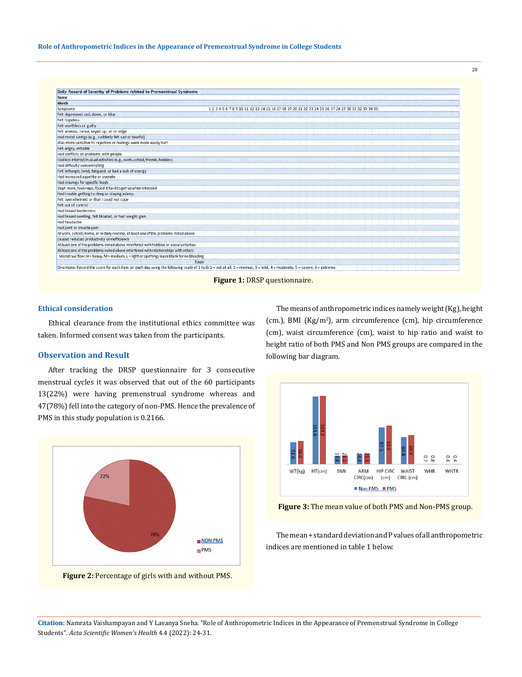| Name                                                                                      |  |  |                                                                                                 |  |  |  |  |  |  |  |  |
|-------------------------------------------------------------------------------------------|--|--|-------------------------------------------------------------------------------------------------|--|--|--|--|--|--|--|--|
| Month                                                                                     |  |  |                                                                                                 |  |  |  |  |  |  |  |  |
| Symptoms                                                                                  |  |  | 1 2 3 4 5 6 7 8 9 10 11 12 13 14 15 16 17 18 19 20 21 22 23 24 25 26 27 28 29 30 31 32 33 34 35 |  |  |  |  |  |  |  |  |
| Felt depressed, sad, down, or blue                                                        |  |  |                                                                                                 |  |  |  |  |  |  |  |  |
| Felt hopeless                                                                             |  |  |                                                                                                 |  |  |  |  |  |  |  |  |
| Felt worthless or guilty                                                                  |  |  |                                                                                                 |  |  |  |  |  |  |  |  |
| Felt anxious, tense, keyed up, or on edge                                                 |  |  |                                                                                                 |  |  |  |  |  |  |  |  |
| Had mood swings (e.g., suddenly felt sad or tearful)                                      |  |  |                                                                                                 |  |  |  |  |  |  |  |  |
| Was more sensitive to rejection or feelings were more easily hurt                         |  |  |                                                                                                 |  |  |  |  |  |  |  |  |
| Felt angry, irritable                                                                     |  |  |                                                                                                 |  |  |  |  |  |  |  |  |
| Had conflicts or problems with people                                                     |  |  |                                                                                                 |  |  |  |  |  |  |  |  |
| Hadless interest inusual activities (e.g., work, school, friends, hobbies)                |  |  |                                                                                                 |  |  |  |  |  |  |  |  |
| Had difficulty concentrating                                                              |  |  |                                                                                                 |  |  |  |  |  |  |  |  |
| Felt lethargic, tired, fatigued, or had a lack of energy                                  |  |  |                                                                                                 |  |  |  |  |  |  |  |  |
| Had increased appetite or overate                                                         |  |  |                                                                                                 |  |  |  |  |  |  |  |  |
| Had cravings for specific foods                                                           |  |  |                                                                                                 |  |  |  |  |  |  |  |  |
| Slept more, took naps, found it hard to get up when intended                              |  |  |                                                                                                 |  |  |  |  |  |  |  |  |
| Had trouble getting to sleep or staying asleep                                            |  |  |                                                                                                 |  |  |  |  |  |  |  |  |
| Felt overwhelmed or that I could not cope                                                 |  |  |                                                                                                 |  |  |  |  |  |  |  |  |
| Felt out of control                                                                       |  |  |                                                                                                 |  |  |  |  |  |  |  |  |
| Had breast tenderness                                                                     |  |  |                                                                                                 |  |  |  |  |  |  |  |  |
| Had breast swelling, felt bloated, or had weight gain                                     |  |  |                                                                                                 |  |  |  |  |  |  |  |  |
| Had headache                                                                              |  |  |                                                                                                 |  |  |  |  |  |  |  |  |
| Had joint or muscle pain                                                                  |  |  |                                                                                                 |  |  |  |  |  |  |  |  |
| At work, school, home, or in daily routine, at least one of the problems noted above      |  |  |                                                                                                 |  |  |  |  |  |  |  |  |
| caused reduced productivity or inefficiency                                               |  |  |                                                                                                 |  |  |  |  |  |  |  |  |
| At least one of the problems noted above interfered with hobbies or social activities     |  |  |                                                                                                 |  |  |  |  |  |  |  |  |
| At least one of the problems noted above interfered with relationships with others        |  |  |                                                                                                 |  |  |  |  |  |  |  |  |
| Menstrual flow: H = heavy, M = medium, L = light or spotting; leave blank for no bleeding |  |  |                                                                                                 |  |  |  |  |  |  |  |  |
| Totals                                                                                    |  |  |                                                                                                 |  |  |  |  |  |  |  |  |

**Figure 1:** DRSP questionnaire.

#### **Ethical consideration**

Ethical clearance from the institutional ethics committee was taken. Informed consent was taken from the participants.

# **Observation and Result**

After tracking the DRSP questionnaire for 3 consecutive menstrual cycles it was observed that out of the 60 participants 13(22%) were having premenstrual syndrome whereas and 47(78%) fell into the category of non-PMS. Hence the prevalence of PMS in this study population is 0.2166.



**Figure 2:** Percentage of girls with and without PMS.

The means of anthropometric indices namely weight (Kg), height (cm.), BMI (Kg/m<sup>2</sup> ), arm circumference (cm), hip circumference (cm), waist circumference (cm), waist to hip ratio and waist to height ratio of both PMS and Non PMS groups are compared in the following bar diagram.



**Figure 3:** The mean value of both PMS and Non-PMS group.

The mean + standard deviation and P values of all anthropometric indices are mentioned in table 1 below.

**Citation:** Namrata Vaishampayan and Y Lavanya Sneha*.* "Role of Anthropometric Indices in the Appearance of Premenstrual Syndrome in College Students". *Acta Scientific Women's Health* 4.4 (2022): 24-31.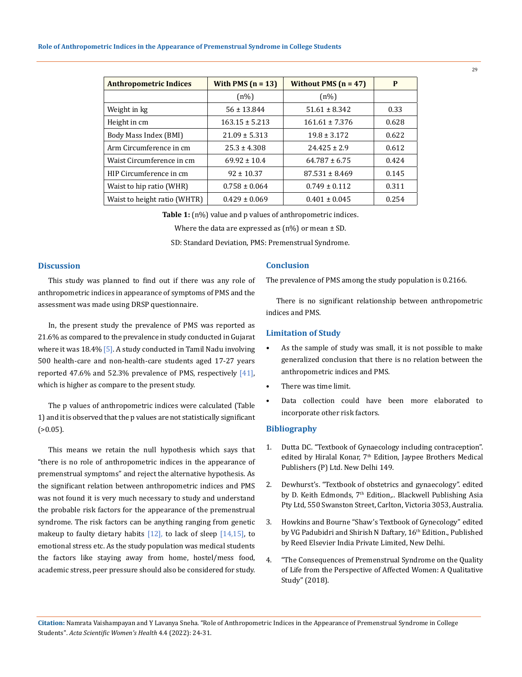| <b>Anthropometric Indices</b> | With PMS $(n = 13)$ | Without PMS $(n = 47)$ | P     |
|-------------------------------|---------------------|------------------------|-------|
|                               | $(n\%)$             | $(n\%)$                |       |
| Weight in kg                  | $56 \pm 13.844$     | $51.61 \pm 8.342$      | 0.33  |
| Height in cm                  | $163.15 \pm 5.213$  | $161.61 \pm 7.376$     | 0.628 |
| Body Mass Index (BMI)         | $21.09 \pm 5.313$   | $19.8 \pm 3.172$       | 0.622 |
| Arm Circumference in cm       | $25.3 \pm 4.308$    | $24.425 \pm 2.9$       | 0.612 |
| Waist Circumference in cm     | $69.92 \pm 10.4$    | $64.787 \pm 6.75$      | 0.424 |
| HIP Circumference in cm       | $92 \pm 10.37$      | $87.531 \pm 8.469$     | 0.145 |
| Waist to hip ratio (WHR)      | $0.758 \pm 0.064$   | $0.749 \pm 0.112$      | 0.311 |
| Waist to height ratio (WHTR)  | $0.429 \pm 0.069$   | $0.401 \pm 0.045$      | 0.254 |

Table 1: (n%) value and p values of anthropometric indices.

Where the data are expressed as  $(n\%)$  or mean  $\pm$  SD.

SD: Standard Deviation, PMS: Premenstrual Syndrome.

## **Discussion**

This study was planned to find out if there was any role of anthropometric indices in appearance of symptoms of PMS and the assessment was made using DRSP questionnaire.

In, the present study the prevalence of PMS was reported as 21.6% as compared to the prevalence in study conducted in Gujarat where it was 18.4% [5]. A study conducted in Tamil Nadu involving 500 health-care and non-health-care students aged 17-27 years reported 47.6% and 52.3% prevalence of PMS, respectively  $[41]$ , which is higher as compare to the present study.

The p values of anthropometric indices were calculated (Table 1) and it is observed that the p values are not statistically significant  $(>0.05)$ .

This means we retain the null hypothesis which says that "there is no role of anthropometric indices in the appearance of premenstrual symptoms" and reject the alternative hypothesis. As the significant relation between anthropometric indices and PMS was not found it is very much necessary to study and understand the probable risk factors for the appearance of the premenstrual syndrome. The risk factors can be anything ranging from genetic makeup to faulty dietary habits  $[12]$ , to lack of sleep  $[14,15]$ , to emotional stress etc. As the study population was medical students the factors like staying away from home, hostel/mess food, academic stress, peer pressure should also be considered for study.

## **Conclusion**

The prevalence of PMS among the study population is 0.2166.

There is no significant relationship between anthropometric indices and PMS.

## **Limitation of Study**

- **•** As the sample of study was small, it is not possible to make generalized conclusion that there is no relation between the anthropometric indices and PMS.
- There was time limit.
- Data collection could have been more elaborated to incorporate other risk factors.

## **Bibliography**

- 1. Dutta DC. "Textbook of Gynaecology including contraception". edited by Hiralal Konar, 7<sup>th</sup> Edition, Jaypee Brothers Medical Publishers (P) Ltd. New Delhi 149.
- 2. Dewhurst's. "Textbook of obstetrics and gynaecology". edited by D. Keith Edmonds, 7<sup>th</sup> Edition,.. Blackwell Publishing Asia Pty Ltd, 550 Swanston Street, Carlton, Victoria 3053, Australia.
- 3. Howkins and Bourne "Shaw's Textbook of Gynecology" edited by VG Padubidri and Shirish N Daftary, 16<sup>th</sup> Edition., Published by Reed Elsevier India Private Limited, New Delhi.
- 4. ["The Consequences of Premenstrual Syndrome on the Quality](https://www.jrmds.in/articles/the-consequences-of-premenstrual-syndrome-on-the-quality-of-life-from-the-perspective-of-affected-womena-qualitative-stu.pdf)  [of Life from the Perspective of Affected Women: A Qualitative](https://www.jrmds.in/articles/the-consequences-of-premenstrual-syndrome-on-the-quality-of-life-from-the-perspective-of-affected-womena-qualitative-stu.pdf) [Study" \(2018\).](https://www.jrmds.in/articles/the-consequences-of-premenstrual-syndrome-on-the-quality-of-life-from-the-perspective-of-affected-womena-qualitative-stu.pdf)

**Citation:** Namrata Vaishampayan and Y Lavanya Sneha*.* "Role of Anthropometric Indices in the Appearance of Premenstrual Syndrome in College Students". *Acta Scientific Women's Health* 4.4 (2022): 24-31.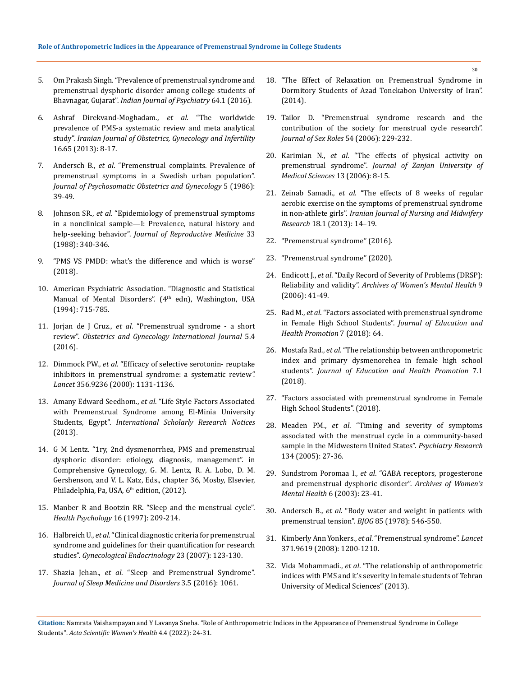- 5. [Om Prakash Singh. "Prevalence of premenstrual syndrome and](http://www.indianjpsychiatry.org/article.asp?issn=0019-%205545;year=2016;volume=58;issue=2;spage=164;epage=170;aulast=Raval)  [premenstrual dysphoric disorder among college students of](http://www.indianjpsychiatry.org/article.asp?issn=0019-%205545;year=2016;volume=58;issue=2;spage=164;epage=170;aulast=Raval)  Bhavnagar, Gujarat". *[Indian Journal of Psychiatry](http://www.indianjpsychiatry.org/article.asp?issn=0019-%205545;year=2016;volume=58;issue=2;spage=164;epage=170;aulast=Raval)* 64.1 (2016).
- 6. [Ashraf Direkvand-Moghadam.,](https://www.researchgate.net/publication/289005155_The_worldwide_prevalence_of_premenstrual_syndrome_A_systematic_review_and_meta-analysis_study) *et al*. "The worldwide [prevalence of PMS-a systematic review and meta analytical](https://www.researchgate.net/publication/289005155_The_worldwide_prevalence_of_premenstrual_syndrome_A_systematic_review_and_meta-analysis_study)  study". *[Iranian Journal of Obstetrics, Gynecology and Infertility](https://www.researchgate.net/publication/289005155_The_worldwide_prevalence_of_premenstrual_syndrome_A_systematic_review_and_meta-analysis_study)* [16.65 \(2013\): 8-17.](https://www.researchgate.net/publication/289005155_The_worldwide_prevalence_of_premenstrual_syndrome_A_systematic_review_and_meta-analysis_study)
- 7. Andersch B., *et al*[. "Premenstrual complaints. Prevalence of](https://www.tandfonline.com/doi/abs/10.3109/01674828609016741)  [premenstrual symptoms in a Swedish urban population".](https://www.tandfonline.com/doi/abs/10.3109/01674828609016741)  *[Journal of Psychosomatic Obstetrics and Gynecology](https://www.tandfonline.com/doi/abs/10.3109/01674828609016741)* 5 (1986): [39-49.](https://www.tandfonline.com/doi/abs/10.3109/01674828609016741)
- 8. Johnson SR., *et al*[. "Epidemiology of premenstrual symptoms](https://pubmed.ncbi.nlm.nih.gov/3367333/)  [in a nonclinical sample—I: Prevalence, natural history and](https://pubmed.ncbi.nlm.nih.gov/3367333/)  help-seeking behavior". *[Journal of Reproductive Medicine](https://pubmed.ncbi.nlm.nih.gov/3367333/)* 33 [\(1988\): 340-346.](https://pubmed.ncbi.nlm.nih.gov/3367333/)
- 9. ["PMS VS PMDD: what's the difference and which is worse"](https://www.webmd.com/women/pms/pms-vs-pmdd)  [\(2018\).](https://www.webmd.com/women/pms/pms-vs-pmdd)
- 10. American Psychiatric Association. "Diagnostic and Statistical Manual of Mental Disorders". (4<sup>th</sup> edn), Washington, USA (1994): 715-785.
- 11. Jorjan de J Cruz., *et al*[. "Premenstrual syndrome a short](http://medcraveonline.com/OGIJ/OGIJ-05-00164.pdf)  review". *[Obstetrics and Gynecology International Journal](http://medcraveonline.com/OGIJ/OGIJ-05-00164.pdf)* 5.4 [\(2016\).](http://medcraveonline.com/OGIJ/OGIJ-05-00164.pdf)
- 12. Dimmock PW., *et al*. "Efficacy of selective serotonin- reuptake inhibitors in premenstrual syndrome: a systematic review*". Lancet* 356.9236 (2000): 1131-1136.
- 13. Amany Edward Seedhom., *et al*[. "Life Style Factors Associated](https://www.hindawi.com/journals/isrn/2013/617123/)  [with Premenstrual Syndrome among El-Minia University](https://www.hindawi.com/journals/isrn/2013/617123/)  Students, Egypt". *[International Scholarly Research Notices](https://www.hindawi.com/journals/isrn/2013/617123/)* [\(2013\).](https://www.hindawi.com/journals/isrn/2013/617123/)
- 14. G M Lentz. "1ry, 2nd dysmenorrhea, PMS and premenstrual dysphoric disorder: etiology, diagnosis, management". in Comprehensive Gynecology, G. M. Lentz, R. A. Lobo, D. M. Gershenson, and V. L. Katz, Eds., chapter 36, Mosby, Elsevier, Philadelphia, Pa, USA, 6<sup>th</sup> edition, (2012).
- 15. [Manber R and Bootzin RR. "Sleep and the menstrual cycle".](https://pubmed.ncbi.nlm.nih.gov/9152698/)  *[Health Psychology](https://pubmed.ncbi.nlm.nih.gov/9152698/)* 16 (1997): 209-214.
- 16. Halbreich U., *et al*[. "Clinical diagnostic criteria for premenstrual](https://pubmed.ncbi.nlm.nih.gov/17454164/)  [syndrome and guidelines for their quantification for research](https://pubmed.ncbi.nlm.nih.gov/17454164/)  studies". *[Gynecological Endocrinology](https://pubmed.ncbi.nlm.nih.gov/17454164/)* 23 (2007): 123-130.
- 17. Shazia Jehan., *et al*[. "Sleep and Premenstrual Syndrome".](https://www.ncbi.nlm.nih.gov/pmc/articles/PMC5323065/)  *[Journal of Sleep Medicine and Disorders](https://www.ncbi.nlm.nih.gov/pmc/articles/PMC5323065/)* 3.5 (2016): 1061.
- 18. ["The Effect of Relaxation on Premenstrual Syndrome in](https://www.sciencedirect.com/science/article/pii/S1877042813018661)  [Dormitory Students of Azad Tonekabon University of Iran".](https://www.sciencedirect.com/science/article/pii/S1877042813018661)  [\(2014\).](https://www.sciencedirect.com/science/article/pii/S1877042813018661)
- 19. Tailor D. "Premenstrual syndrome research and the contribution of the society for menstrual cycle research". *Journal of Sex Roles* 54 (2006): 229-232.
- 20. Karimian N., *et al*. "The effects of physical activity on premenstrual syndrome". *Journal of Zanjan University of Medical Sciences* 13 (2006): 8-15.
- 21. Zeinab Samadi., *et al*[. "The effects of 8 weeks of regular](https://www.ncbi.nlm.nih.gov/pmc/articles/PMC3748549/)  [aerobic exercise on the symptoms of premenstrual syndrome](https://www.ncbi.nlm.nih.gov/pmc/articles/PMC3748549/)  in non-athlete girls". *[Iranian Journal of Nursing and Midwifery](https://www.ncbi.nlm.nih.gov/pmc/articles/PMC3748549/)  Research* [18.1 \(2013\): 14–19.](https://www.ncbi.nlm.nih.gov/pmc/articles/PMC3748549/)
- 22. ["Premenstrual syndrome" \(2016\).](https://www.medicinenet.com/premenstrual_syndrome/article.htm)
- 23. ["Premenstrual syndrome" \(2020\).](https://www.mayoclinic.org/diseases-conditions/premenstrual-syndrome/diagnosis-treatment/drc-20376787)
- 24. Endicott J., *et al*[. "Daily Record of Severity of Problems \(DRSP\):](https://pubmed.ncbi.nlm.nih.gov/16172836/)  Reliability and validity". *[Archives of Women's Mental Health](https://pubmed.ncbi.nlm.nih.gov/16172836/)* 9 [\(2006\): 41-49.](https://pubmed.ncbi.nlm.nih.gov/16172836/)
- 25. Rad M., *et al*[. "Factors associated with premenstrual syndrome](https://www.ncbi.nlm.nih.gov/pmc/articles/PMC5963206/)  [in Female High School Students".](https://www.ncbi.nlm.nih.gov/pmc/articles/PMC5963206/) *Journal of Education and [Health Promotion](https://www.ncbi.nlm.nih.gov/pmc/articles/PMC5963206/)* 7 (2018): 64.
- 26. Mostafa Rad., *et al*[. "The relationship between anthropometric](https://www.researchgate.net/publication/324243318_The_relationship_between_anthropom%20etric_index_and_primary_dysmenorehea_in_female_high_school_students)  [index and primary dysmenorehea in female high school](https://www.researchgate.net/publication/324243318_The_relationship_between_anthropom%20etric_index_and_primary_dysmenorehea_in_female_high_school_students)  students". *[Journal of Education and Health Promotion](https://www.researchgate.net/publication/324243318_The_relationship_between_anthropom%20etric_index_and_primary_dysmenorehea_in_female_high_school_students)* 7.1 [\(2018\).](https://www.researchgate.net/publication/324243318_The_relationship_between_anthropom%20etric_index_and_primary_dysmenorehea_in_female_high_school_students)
- 27. ["Factors associated with premenstrual syndrome in Female](https://www.ncbi.nlm.nih.gov/pmc/articles/PMC5963206/)  [High School Students". \(2018\).](https://www.ncbi.nlm.nih.gov/pmc/articles/PMC5963206/)
- 28. Meaden PM., *et al*[. "Timing and severity of symptoms](https://pubmed.ncbi.nlm.nih.gov/15808287/)  [associated with the menstrual cycle in a community-based](https://pubmed.ncbi.nlm.nih.gov/15808287/)  [sample in the Midwestern United States".](https://pubmed.ncbi.nlm.nih.gov/15808287/) *Psychiatry Research* [134 \(2005\): 27-36.](https://pubmed.ncbi.nlm.nih.gov/15808287/)
- 29. Sundstrom Poromaa I., *et al*[. "GABA receptors, progesterone](https://pubmed.ncbi.nlm.nih.gov/12715262/)  [and premenstrual dysphoric disorder".](https://pubmed.ncbi.nlm.nih.gov/12715262/) *Archives of Women's [Mental Health](https://pubmed.ncbi.nlm.nih.gov/12715262/)* 6 (2003): 23-41.
- 30. Andersch B., *et al*[. "Body water and weight in patients with](https://pubmed.ncbi.nlm.nih.gov/567064/)  [premenstrual tension".](https://pubmed.ncbi.nlm.nih.gov/567064/) *BJOG* 85 (1978): 546-550.
- 31. Kimberly Ann Yonkers., *et al*[. "Premenstrual syndrome".](https://www.ncbi.nlm.nih.gov/pmc/articles/PMC3118460/) *Lancet*  [371.9619 \(2008\): 1200-1210.](https://www.ncbi.nlm.nih.gov/pmc/articles/PMC3118460/)
- 32. Vida Mohammadi., *et al*[. "The relationship of anthropometric](http://rjms.iums.ac.ir/article-1-2663-en.html)  [indices with PMS and it's severity in female students of Tehran](http://rjms.iums.ac.ir/article-1-2663-en.html)  [University of Medical Sciences" \(2013\).](http://rjms.iums.ac.ir/article-1-2663-en.html)

**Citation:** Namrata Vaishampayan and Y Lavanya Sneha*.* "Role of Anthropometric Indices in the Appearance of Premenstrual Syndrome in College Students". *Acta Scientific Women's Health* 4.4 (2022): 24-31.